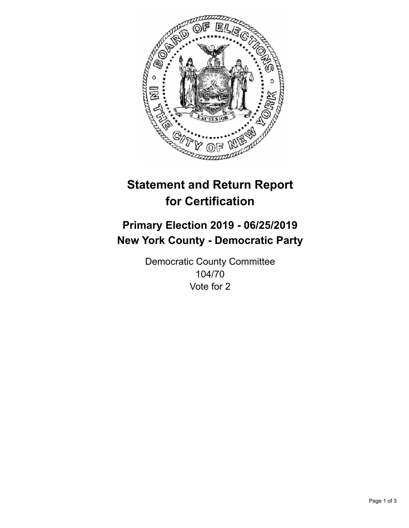

## **Statement and Return Report for Certification**

## **Primary Election 2019 - 06/25/2019 New York County - Democratic Party**

Democratic County Committee 104/70 Vote for 2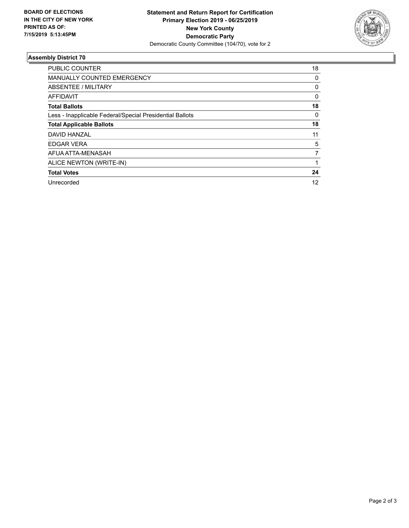

## **Assembly District 70**

| <b>PUBLIC COUNTER</b>                                    | 18       |
|----------------------------------------------------------|----------|
| <b>MANUALLY COUNTED EMERGENCY</b>                        | 0        |
| ABSENTEE / MILITARY                                      | 0        |
| AFFIDAVIT                                                | 0        |
| <b>Total Ballots</b>                                     | 18       |
| Less - Inapplicable Federal/Special Presidential Ballots | $\Omega$ |
| <b>Total Applicable Ballots</b>                          | 18       |
| DAVID HANZAL                                             | 11       |
| <b>EDGAR VERA</b>                                        | 5        |
| AFUA ATTA-MENASAH                                        | 7        |
| ALICE NEWTON (WRITE-IN)                                  |          |
| <b>Total Votes</b>                                       | 24       |
| Unrecorded                                               | 12       |